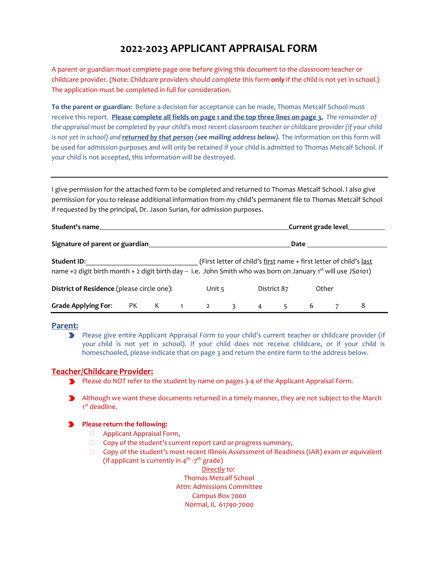# **2022-2023 APPLICANT APPRAISAL FORM**

A parent or guardian must complete page one before giving this document to the classroom teacher or childcare provider. (Note: Childcare providers should complete this form **only** if the child is not yet in school.) The application must be completed in full for consideration.

**To the parent or guardian:** Before a decision for acceptance can be made, Thomas Metcalf School must receive this report. **Please complete all fields on page 1 and the top three lines on page 3.** *The remainder of* the appraisal must be completed by your child's most recent classroom teacher or childcare provider (if your child *is not yet in school) and returned by that person (see mailing address below).* The information on this form will be used for admission purposes and will only be retained if your child is admitted to Thomas Metcalf School. If your child is not accepted, this information will be destroyed.

I give permission for the attached form to be completed and returned to Thomas Metcalf School. I also give permission for you to release additional information from my child's permanent file to Thomas Metcalf School if requested by the principal, Dr. Jason Surian, for admission purposes.

| Student's name                             |  | Current grade level___________ |          |                                                                                                                                                                                     |   |   |             |   |       |   |  |
|--------------------------------------------|--|--------------------------------|----------|-------------------------------------------------------------------------------------------------------------------------------------------------------------------------------------|---|---|-------------|---|-------|---|--|
| Signature of parent or guardian            |  | Date                           |          |                                                                                                                                                                                     |   |   |             |   |       |   |  |
| Student ID:                                |  |                                |          | (First letter of child's first name + first letter of child's last<br>name +2 digit birth month + 2 digit birth day -- i.e. John Smith who was born on January 1st will use JS0101) |   |   |             |   |       |   |  |
| District of Residence (please circle one): |  |                                |          | Unit 5                                                                                                                                                                              |   |   | District 87 |   | Other |   |  |
| <b>Grade Applying For:</b>                 |  |                                | PK K 1 2 |                                                                                                                                                                                     | 3 | 4 | 5           | 6 |       | 8 |  |

### **Parent:**

Please give entire Applicant Appraisal Form to your child's current teacher or childcare provider (if your child is not yet in school). If your child does not receive childcare, or if your child is homeschooled, please indicate that on page 3 and return the entire form to the address below.

# **Teacher/Childcare Provider:**

- Please do NOT refer to the student by name on pages 3-4 of the Applicant Appraisal Form.
- Although we want these documents returned in a timely manner, they are not subject to the March 1<sup>st</sup> deadline.

# **Please return the following:**

- **E** Applicant Appraisal Form,
- □ Copy of the student's current report card or progress summary,
- $\Box$  Copy of the student's most recent Illinois Assessment of Readiness (IAR) exam or equivalent (if applicant is currently in  $4^{\text{th}}$  -7<sup>th</sup> grade)

Directly to: Thomas Metcalf School Attn: Admissions Committee Campus Box 7000 Normal, IL 61790-7000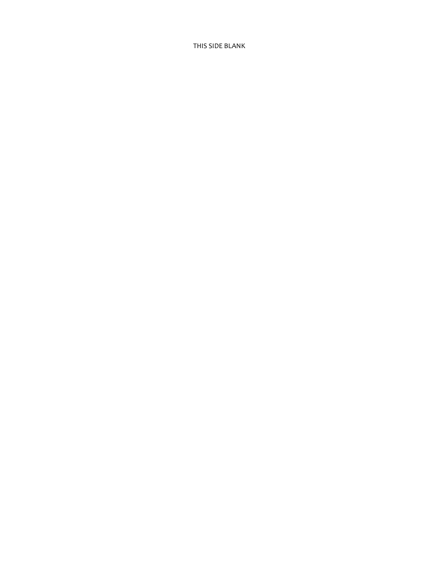THIS SIDE BLANK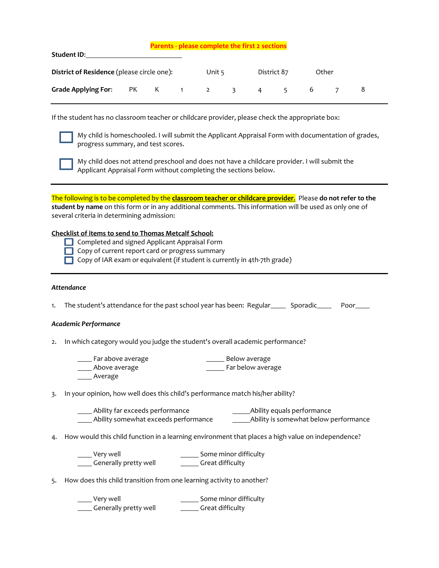| Student ID:                                |  |          | Parents - please complete the first 2 sections |                |             |   |       |  |
|--------------------------------------------|--|----------|------------------------------------------------|----------------|-------------|---|-------|--|
| District of Residence (please circle one): |  | Unit 5   |                                                |                | District 87 |   | Other |  |
| <b>Grade Applying For:</b>                 |  | PK K 1 2 | $\overline{3}$                                 | $\overline{4}$ | -5.         | 6 |       |  |

If the student has no classroom teacher or childcare provider, please check the appropriate box:

My child is homeschooled. I will submit the Applicant Appraisal Form with documentation of grades, progress summary, and test scores.

My child does not attend preschool and does not have a childcare provider. I will submit the Applicant Appraisal Form without completing the sections below.

The following is to be completed by the **classroom teacher or childcare provider**. Please **do not refer to the student by name** on this form or in any additional comments. This information will be used as only one of several criteria in determining admission:

## **Checklist of items to send to Thomas Metcalf School:**

- Completed and signed Applicant Appraisal Form
- Copy of current report card or progress summary
- Copy of IAR exam or equivalent (if student is currently in 4th-7th grade)

#### *Attendance*

1. The student's attendance for the past school year has been: Regular Sporadic Poor

### *Academic Performance*

- 2. In which category would you judge the student's overall academic performance?
	- **EXECUTE:** Far above average **BELOCUTE:** Below average ergal above average the settle state of the settle settle settle settle settle settle settle settle settle set \_\_ Average
- 3. In your opinion, how well does this child's performance match his/her ability?
	- 6. Ability far exceeds performance **Ability equals performance** Ability somewhat exceeds performance and ability is somewhat below performance
- 4. How would this child function in a learning environment that places a high value on independence?
	- Uery well Some minor difficulty Cenerally pretty well Creat difficulty
- 5. How does this child transition from one learning activity to another?

Uery well **No. 2018** Some minor difficulty Generally pretty well Great difficulty